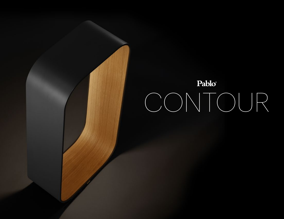# Pablo® CONTOUR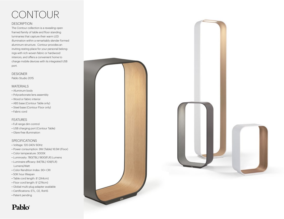# **CONTOUR**

#### **DESCRIPTION**

The Contour collection is a revealing open framed family of table and floor standing luminaries that capture their warm LED illumination within a remarkably slender formed aluminum structure. Contour provides an inviting resting place for your personal belongings with rich woven fabric or hardwood interiors, and offers a convenient home to charge mobile devices with its integrated USB port.

### DESIGNER

Pablo Studio 2015

#### MATERIALS

- Aluminum body
- Polycarbonate lens assembly
- Wood or fabric interior
- ABS base (Contour Table only)
- Steel base (Contour Floor only)
- Fabric cord

#### FEATURES

- Full range dim control
- USB charging port (Contour Table)
- Glare-free illumination

#### SPECIFICATIONS

- Voltage: 120-240V 60Hz
- Power consumption: 9W (Table) 16.5W (Floor)
- Color temperature: 3000K
- Luminosity: 780(TBL) 1800(FLR) Lumens
- Luminaire efficacy: 84(TBL) 109(FLR) Lumens/Watt
- Color Rendition Index: 90+ CRI
- 50K hour lifespan
- Table cord length: 8' (244cm)
- Floor cord length: 9' (274cm)
- Global multi-plug adapter available
- Certifications: ETL, CE, RoHS
- Patent pending